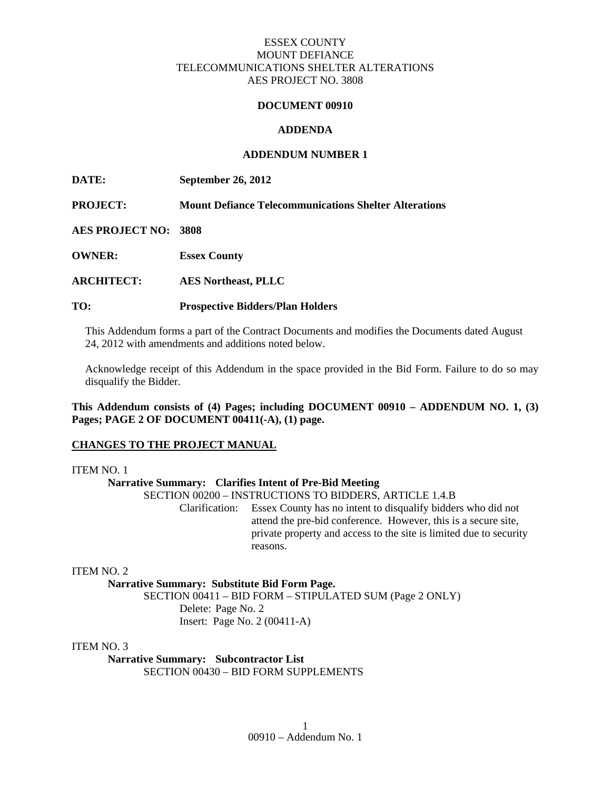#### **DOCUMENT 00910**

#### **ADDENDA**

#### **ADDENDUM NUMBER 1**

**DATE: September 26, 2012** 

**PROJECT: Mount Defiance Telecommunications Shelter Alterations** 

**AES PROJECT NO: 3808** 

**OWNER: Essex County** 

**ARCHITECT: AES Northeast, PLLC** 

#### **TO: Prospective Bidders/Plan Holders**

This Addendum forms a part of the Contract Documents and modifies the Documents dated August 24, 2012 with amendments and additions noted below.

Acknowledge receipt of this Addendum in the space provided in the Bid Form. Failure to do so may disqualify the Bidder.

**This Addendum consists of (4) Pages; including DOCUMENT 00910 – ADDENDUM NO. 1, (3) Pages; PAGE 2 OF DOCUMENT 00411(-A), (1) page.** 

#### **CHANGES TO THE PROJECT MANUAL**

ITEM NO. 1

#### **Narrative Summary: Clarifies Intent of Pre-Bid Meeting**

SECTION 00200 – INSTRUCTIONS TO BIDDERS, ARTICLE 1.4.B

 Clarification: Essex County has no intent to disqualify bidders who did not attend the pre-bid conference. However, this is a secure site, private property and access to the site is limited due to security reasons.

ITEM NO. 2

**Narrative Summary: Substitute Bid Form Page.** 

 SECTION 00411 – BID FORM – STIPULATED SUM (Page 2 ONLY) Delete: Page No. 2 Insert: Page No. 2 (00411-A)

ITEM NO. 3

**Narrative Summary: Subcontractor List**  SECTION 00430 – BID FORM SUPPLEMENTS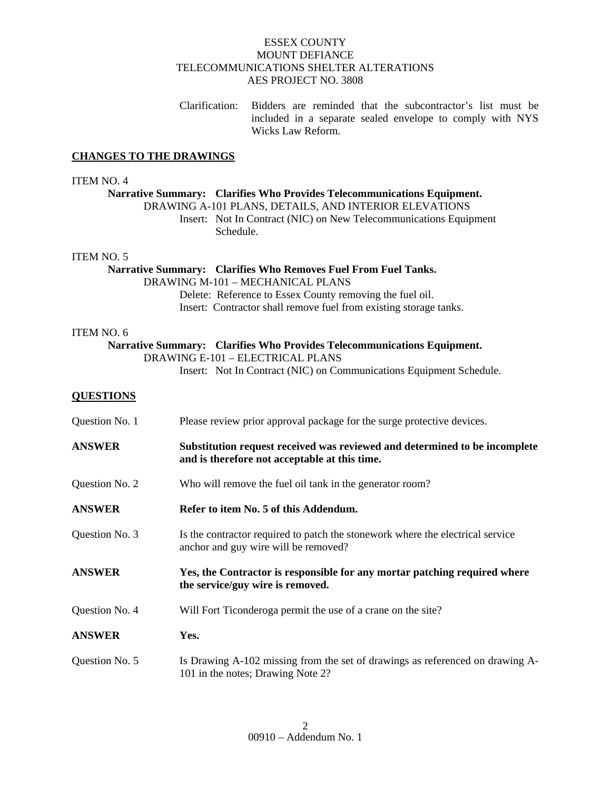Clarification: Bidders are reminded that the subcontractor's list must be included in a separate sealed envelope to comply with NYS Wicks Law Reform.

## **CHANGES TO THE DRAWINGS**

#### ITEM NO. 4

# **Narrative Summary: Clarifies Who Provides Telecommunications Equipment.**  DRAWING A-101 PLANS, DETAILS, AND INTERIOR ELEVATIONS Insert: Not In Contract (NIC) on New Telecommunications Equipment Schedule. ITEM NO. 5 **Narrative Summary: Clarifies Who Removes Fuel From Fuel Tanks.**  DRAWING M-101 – MECHANICAL PLANS Delete: Reference to Essex County removing the fuel oil. Insert: Contractor shall remove fuel from existing storage tanks. ITEM NO. 6 **Narrative Summary: Clarifies Who Provides Telecommunications Equipment.**  DRAWING E-101 – ELECTRICAL PLANS Insert: Not In Contract (NIC) on Communications Equipment Schedule. **QUESTIONS** Question No. 1 Please review prior approval package for the surge protective devices. **ANSWER Substitution request received was reviewed and determined to be incomplete and is therefore not acceptable at this time.**  Question No. 2 Who will remove the fuel oil tank in the generator room? **ANSWER** Refer to item No. 5 of this Addendum. Question No. 3 Is the contractor required to patch the stonework where the electrical service anchor and guy wire will be removed? **ANSWER Yes, the Contractor is responsible for any mortar patching required where the service/guy wire is removed.**  Question No. 4 Will Fort Ticonderoga permit the use of a crane on the site? **ANSWER Yes.**  Question No. 5 Is Drawing A-102 missing from the set of drawings as referenced on drawing A-101 in the notes; Drawing Note 2?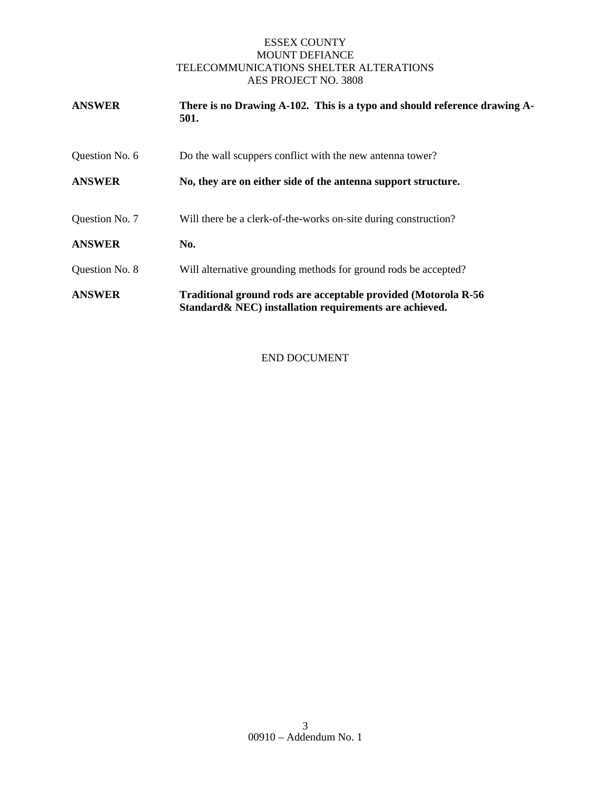| <b>ANSWER</b>  | There is no Drawing A-102. This is a typo and should reference drawing A-<br>501.                                         |
|----------------|---------------------------------------------------------------------------------------------------------------------------|
| Question No. 6 | Do the wall scuppers conflict with the new antenna tower?                                                                 |
| <b>ANSWER</b>  | No, they are on either side of the antenna support structure.                                                             |
| Question No. 7 | Will there be a clerk-of-the-works on-site during construction?                                                           |
| <b>ANSWER</b>  | No.                                                                                                                       |
| Question No. 8 | Will alternative grounding methods for ground rods be accepted?                                                           |
| <b>ANSWER</b>  | Traditional ground rods are acceptable provided (Motorola R-56<br>Standard & NEC) installation requirements are achieved. |

END DOCUMENT